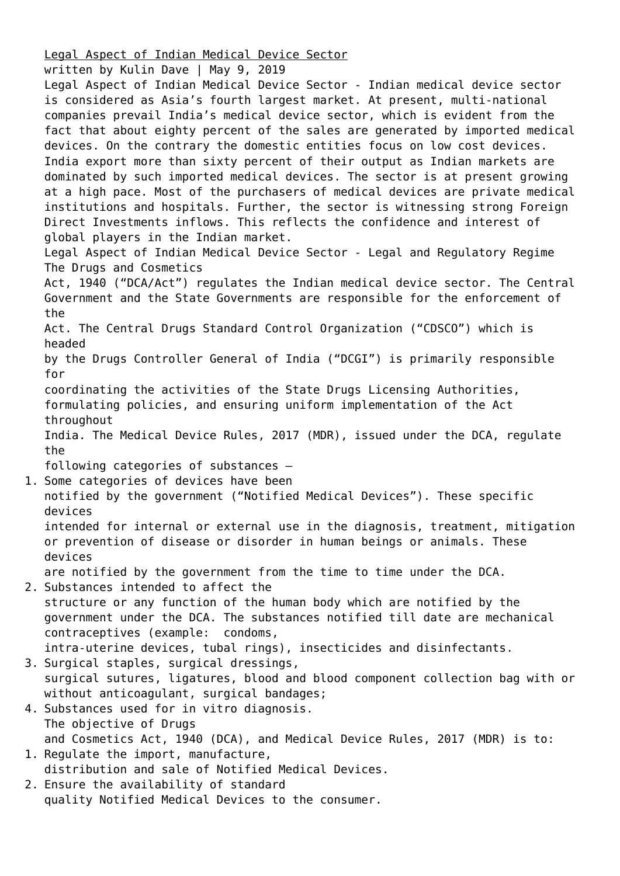[Legal Aspect of Indian Medical Device Sector](https://ksandk.com/legal-metrology/legal-aspect-of-indian-medical-device-sector/)

written by Kulin Dave | May 9, 2019

Legal Aspect of Indian Medical Device Sector - Indian medical device sector is considered as Asia's fourth largest market. At present, multi-national companies prevail India's medical device sector, which is evident from the fact that about eighty percent of the sales are generated by imported medical devices. On the contrary the domestic entities focus on low cost devices. India export more than sixty percent of their output as Indian markets are dominated by such imported medical devices. The sector is at present growing at a high pace. Most of the purchasers of medical devices are private medical institutions and hospitals. Further, the sector is witnessing strong Foreign Direct Investments inflows. This reflects the confidence and interest of global players in the Indian market.

Legal Aspect of Indian Medical Device Sector - Legal and Regulatory Regime The Drugs and Cosmetics

Act, 1940 ("DCA/Act") regulates the Indian medical device sector. The Central Government and the State Governments are responsible for the enforcement of the

Act. The Central Drugs Standard Control Organization ("CDSCO") which is headed

by the Drugs Controller General of India ("DCGI") is primarily responsible for

coordinating the activities of the State Drugs Licensing Authorities,

formulating policies, and ensuring uniform implementation of the Act throughout

India. The Medical Device Rules, 2017 (MDR), issued under the DCA, regulate the

following categories of substances –

1. Some categories of devices have been

notified by the government ("Notified Medical Devices"). These specific devices

intended for internal or external use in the diagnosis, treatment, mitigation or prevention of disease or disorder in human beings or animals. These devices

are notified by the government from the time to time under the DCA.

2. Substances intended to affect the structure or any function of the human body which are notified by the government under the DCA. The substances notified till date are mechanical contraceptives (example: condoms,

intra-uterine devices, tubal rings), insecticides and disinfectants.

- 3. Surgical staples, surgical dressings, surgical sutures, ligatures, blood and blood component collection bag with or without anticoagulant, surgical bandages;
- 4. Substances used for in vitro diagnosis. The objective of Drugs and Cosmetics Act, 1940 (DCA), and Medical Device Rules, 2017 (MDR) is to:
- 1. Regulate the import, manufacture, distribution and sale of Notified Medical Devices. 2. Ensure the availability of standard

quality Notified Medical Devices to the consumer.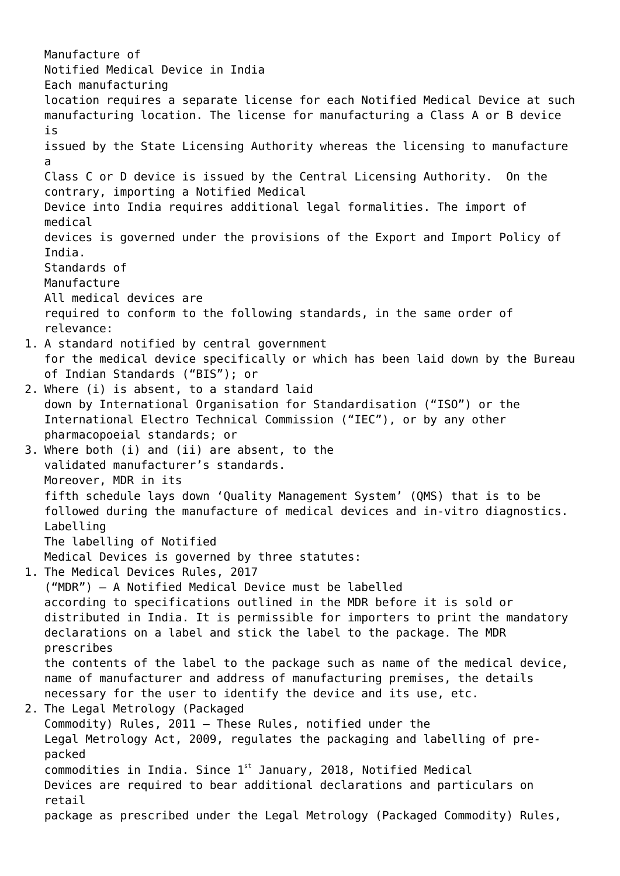Manufacture of Notified Medical Device in India Each manufacturing location requires a separate license for each Notified Medical Device at such manufacturing location. The license for manufacturing a Class A or B device is issued by the State Licensing Authority whereas the licensing to manufacture a Class C or D device is issued by the Central Licensing Authority. On the contrary, importing a Notified Medical Device into India requires additional legal formalities. The import of medical devices is governed under the provisions of the Export and Import Policy of India. Standards of Manufacture All medical devices are required to conform to the following standards, in the same order of relevance: 1. A standard notified by central government for the medical device specifically or which has been laid down by the Bureau of Indian Standards ("BIS"); or 2. Where (i) is absent, to a standard laid down by International Organisation for Standardisation ("ISO") or the International Electro Technical Commission ("IEC"), or by any other pharmacopoeial standards; or 3. Where both (i) and (ii) are absent, to the validated manufacturer's standards. Moreover, MDR in its fifth schedule lays down 'Quality Management System' (QMS) that is to be followed during the manufacture of medical devices and in-vitro diagnostics. Labelling The labelling of Notified Medical Devices is governed by three statutes: 1. The Medical Devices Rules, 2017 ("MDR") – A Notified Medical Device must be labelled according to specifications outlined in the MDR before it is sold or distributed in India. It is permissible for importers to print the mandatory declarations on a label and stick the label to the package. The MDR prescribes the contents of the label to the package such as name of the medical device, name of manufacturer and address of manufacturing premises, the details necessary for the user to identify the device and its use, etc. 2. The Legal Metrology (Packaged Commodity) Rules, 2011 – These Rules, notified under the Legal Metrology Act, 2009, regulates the packaging and labelling of prepacked commodities in India. Since  $1^{st}$  January, 2018, Notified Medical Devices are required to bear additional declarations and particulars on retail package as prescribed under the Legal Metrology (Packaged Commodity) Rules,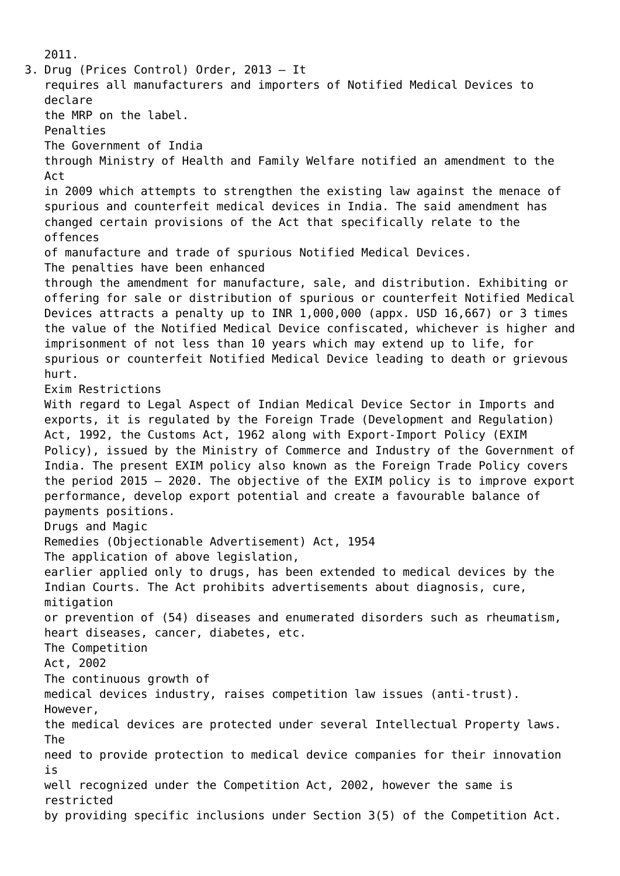2011. 3. Drug (Prices Control) Order, 2013 – It requires all manufacturers and importers of Notified Medical Devices to declare the MRP on the label. Penalties The Government of India through Ministry of Health and Family Welfare notified an amendment to the Act in 2009 which attempts to strengthen the existing law against the menace of spurious and counterfeit medical devices in India. The said amendment has changed certain provisions of the Act that specifically relate to the offences of manufacture and trade of spurious Notified Medical Devices. The penalties have been enhanced through the amendment for manufacture, sale, and distribution. Exhibiting or offering for sale or distribution of spurious or counterfeit Notified Medical Devices attracts a penalty up to INR 1,000,000 (appx. USD 16,667) or 3 times the value of the Notified Medical Device confiscated, whichever is higher and imprisonment of not less than 10 years which may extend up to life, for spurious or counterfeit Notified Medical Device leading to death or grievous hurt. Exim Restrictions With regard to Legal Aspect of Indian Medical Device Sector in Imports and exports, it is regulated by the Foreign Trade (Development and Regulation) Act, 1992, the Customs Act, 1962 along with Export-Import Policy (EXIM Policy), issued by the Ministry of Commerce and Industry of the Government of India. The present EXIM policy also known as the Foreign Trade Policy covers the period 2015 – 2020. The objective of the EXIM policy is to improve export performance, develop export potential and create a favourable balance of payments positions. Drugs and Magic Remedies (Objectionable Advertisement) Act, 1954 The application of above legislation, earlier applied only to drugs, has been extended to medical devices by the Indian Courts. The Act prohibits advertisements about diagnosis, cure, mitigation or prevention of (54) diseases and enumerated disorders such as rheumatism, heart diseases, cancer, diabetes, etc. The Competition Act, 2002 The continuous growth of medical devices industry, raises competition law issues (anti-trust). However, the medical devices are protected under several Intellectual Property laws. The need to provide protection to medical device companies for their innovation is well recognized under the Competition Act, 2002, however the same is restricted by providing specific inclusions under Section 3(5) of the Competition Act.